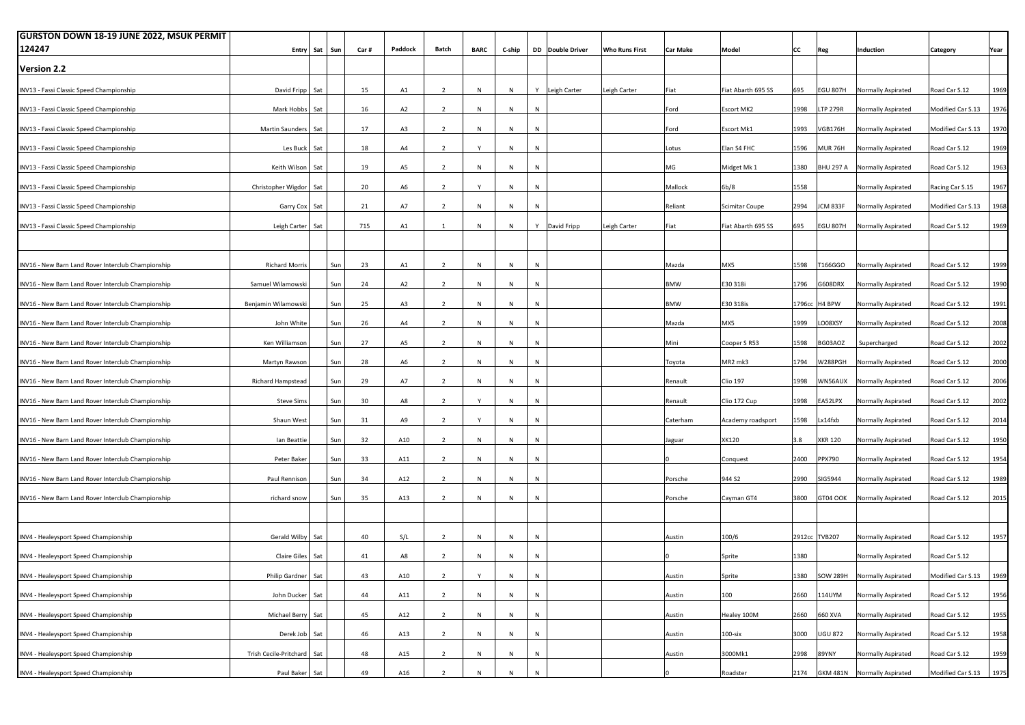| <b>GURSTON DOWN 18-19 JUNE 2022, MSUK PERMIT</b>   |                            |           |     |      |                |                          |              |        |           |                  |                       |                 |                       |      |                  |                                  |                        |      |
|----------------------------------------------------|----------------------------|-----------|-----|------|----------------|--------------------------|--------------|--------|-----------|------------------|-----------------------|-----------------|-----------------------|------|------------------|----------------------------------|------------------------|------|
| 124247                                             |                            | Entry Sat | Sun | Car# | Paddock        | Batch                    | <b>BARC</b>  | C-ship |           | DD Double Driver | <b>Who Runs First</b> | <b>Car Make</b> | Model                 | CC   | Reg              | Induction                        | Category               | Year |
| <b>Version 2.2</b>                                 |                            |           |     |      |                |                          |              |        |           |                  |                       |                 |                       |      |                  |                                  |                        |      |
| INV13 - Fassi Classic Speed Championship           | David Fripp                | Sat       |     | 15   | A1             | $\overline{2}$           | N            | N      |           | Y Leigh Carter   | Leigh Carter          | Fiat            | Fiat Abarth 695 SS    | 695  | <b>EGU 807H</b>  | Normally Aspirated               | Road Car S.12          | 1969 |
| INV13 - Fassi Classic Speed Championship           | Mark Hobbs                 | Sat       |     | 16   | A <sub>2</sub> | $\overline{2}$           | N            | N      | N         |                  |                       | Ford            | <b>Escort MK2</b>     | 1998 | <b>LTP 279R</b>  | Normally Aspirated               | Modified Car S.13      | 1976 |
| INV13 - Fassi Classic Speed Championship           | Martin Saunders Sat        |           |     | 17   | A3             | $\overline{2}$           | N            | N      | N         |                  |                       | Ford            | Escort Mk1            | 1993 | VGB176H          | Normally Aspirated               | Modified Car S.13      | 1970 |
| INV13 - Fassi Classic Speed Championship           | Les Buck                   | Sat       |     | 18   | A4             | $\overline{2}$           |              | N      | N         |                  |                       | Lotus           | Elan S4 FHC           | 1596 | MUR 76H          | Normally Aspirated               | Road Car S.12          | 1969 |
| INV13 - Fassi Classic Speed Championship           | Keith Wilson Sat           |           |     | 19   | A5             | $\overline{2}$           | N            | N      | N         |                  |                       | MG              | Midget Mk 1           | 1380 | <b>BHU 297 A</b> | Normally Aspirated               | Road Car S.12          | 1963 |
| INV13 - Fassi Classic Speed Championship           | Christopher Wigdor Sat     |           |     | 20   | A <sub>6</sub> | $\overline{2}$           | Y            | N      | N         |                  |                       | Mallock         | 6b/8                  | 1558 |                  | Normally Aspirated               | Racing Car S.15        | 1967 |
| INV13 - Fassi Classic Speed Championship           | Garry Cox Sat              |           |     | 21   | A7             | $\overline{2}$           | N            | N      | N         |                  |                       | Reliant         | <b>Scimitar Coupe</b> | 2994 | ICM 833F         | Normally Aspirated               | Modified Car S.13      | 1968 |
| INV13 - Fassi Classic Speed Championship           | Leigh Carter Sat           |           |     | 715  | A1             | $\mathbf{1}$             | N            | N      | Y         | David Fripp      | Leigh Carter          | Fiat            | Fiat Abarth 695 SS    | 695  | <b>EGU 807H</b>  | Normally Aspirated               | Road Car S.12          | 1969 |
|                                                    |                            |           |     |      |                |                          |              |        |           |                  |                       |                 |                       |      |                  |                                  |                        |      |
| INV16 - New Barn Land Rover Interclub Championship | <b>Richard Morris</b>      |           | Sun | 23   | A1             | $\overline{2}$           | N            | N      | N         |                  |                       | Mazda           | MX5                   | 1598 | [166GGO          | Normally Aspirated               | Road Car S.12          | 1999 |
| INV16 - New Barn Land Rover Interclub Championship | Samuel Wilamowski          |           | Sun | 24   | A <sub>2</sub> | $\overline{2}$           | N            | N      | N         |                  |                       | <b>BMW</b>      | E30 318i              | 1796 | G608DRX          | Normally Aspirated               | Road Car S.12          | 1990 |
| INV16 - New Barn Land Rover Interclub Championship | Benjamin Wilamowski        |           | Sun | 25   | A3             | $\overline{2}$           | N            | N      | N         |                  |                       | <b>BMW</b>      | E30 318is             |      | 1796cc H4 BPW    | Normally Aspirated               | Road Car S.12          | 1991 |
| INV16 - New Barn Land Rover Interclub Championship | John White                 |           | Sun | 26   | A4             | $\overline{2}$           | N            | N      | N         |                  |                       | Mazda           | MX5                   | 1999 | LO08XSY          | Normally Aspirated               | Road Car S.12          | 2008 |
| INV16 - New Barn Land Rover Interclub Championship | Ken Williamson             |           | Sun | 27   | A5             | $\overline{2}$           | N            | N      | N         |                  |                       | Mini            | Cooper S R53          | 1598 | BG03AOZ          | Supercharged                     | Road Car S.12          | 2002 |
| INV16 - New Barn Land Rover Interclub Championship | Martyn Rawson              |           | Sun | 28   | A6             | $\overline{2}$           | N            | N      | N         |                  |                       | Toyota          | MR2 mk3               | 1794 | W288PGH          | Normally Aspirated               | Road Car S.12          | 2000 |
| INV16 - New Barn Land Rover Interclub Championship | Richard Hampstead          |           | Sun | 29   | A7             | $\overline{2}$           | N            | N      | N         |                  |                       | Renault         | <b>Clio 197</b>       | 1998 | WN56AUX          | Normally Aspirated               | Road Car S.12          | 2006 |
| INV16 - New Barn Land Rover Interclub Championship | <b>Steve Sims</b>          |           | Sun | 30   | A8             | $\overline{2}$           | Y            | N      | N         |                  |                       | Renault         | Clio 172 Cup          | 1998 | EA52LPX          | Normally Aspirated               | Road Car S.12          | 2002 |
| INV16 - New Barn Land Rover Interclub Championship | Shaun West                 |           | Sun | 31   | A9             | $\overline{2}$           | Y            | N      | N         |                  |                       | Caterham        | Academy roadsport     | 1598 | Lx14fxb          | Normally Aspirated               | Road Car S.12          | 2014 |
| INV16 - New Barn Land Rover Interclub Championship | lan Beattie                |           | Sun | 32   | A10            | $\overline{2}$           | N            | N      | N         |                  |                       | Jaguar          | XK120                 | 3.8  | <b>XKR 120</b>   | Normally Aspirated               | Road Car S.12          | 1950 |
| INV16 - New Barn Land Rover Interclub Championship | Peter Baker                |           | Sun | 33   | A11            | $\overline{2}$           | N            | N      | N         |                  |                       |                 | Conquest              | 2400 | PPX790           | Normally Aspirated               | Road Car S.12          | 1954 |
| INV16 - New Barn Land Rover Interclub Championship | Paul Rennison              |           | Sun | 34   | A12            | $\overline{2}$           | N            | N      | N         |                  |                       | Porsche         | 944 S2                | 2990 | SIG5944          | Normally Aspirated               | Road Car S.12          | 1989 |
| INV16 - New Barn Land Rover Interclub Championship | richard snow               |           | Sun | 35   | A13            | $\overline{2}$           | N            | N      | ${\sf N}$ |                  |                       | Porsche         | Cayman GT4            | 3800 | GT04 OOK         | Normally Aspirated               | Road Car S.12          | 2015 |
|                                                    |                            |           |     |      |                |                          |              |        |           |                  |                       |                 |                       |      |                  |                                  |                        |      |
| INV4 - Healeysport Speed Championship              | Gerald Wilby               | Sat       |     | 40   | S/L            | $\overline{2}$           | N            | N      | N         |                  |                       | Austin          | 100/6                 |      | 2912cc TVB207    | Normally Aspirated               | Road Car S.12          | 1957 |
| INV4 - Healeysport Speed Championship              | Claire Giles               | Sat       |     | 41   | A8             | $\overline{2}$           | N            | N      | N         |                  |                       |                 | Sprite                | 1380 |                  | Normally Aspirated               | Road Car S.12          |      |
| INV4 - Healeysport Speed Championship              | Philip Gardner             | Sat       |     | 43   | A10            | 2                        | $\mathsf{Y}$ | N      | N         |                  |                       | Austin          | Sprite                | 1380 |                  | SOW 289H Normally Aspirated      | Modified Car S.13      | 1969 |
| INV4 - Healeysport Speed Championship              | John Ducker                | Sat       |     | 44   | A11            | $\overline{2}$           | N            | N      | N         |                  |                       | Austin          | 100                   | 2660 | 114UYM           | Normally Aspirated               | Road Car S.12          | 1956 |
| INV4 - Healeysport Speed Championship              | Michael Berry Sat          |           |     | 45   | A12            | $\overline{2}$           | N            | N      | N         |                  |                       | Austin          | Healey 100M           | 2660 | 660 XVA          | Normally Aspirated               | Road Car S.12          | 1955 |
| INV4 - Healeysport Speed Championship              | Derek Job Sat              |           |     | 46   | A13            | $\overline{2}$           | N            | N      | N         |                  |                       | Austin          | $100$ -six            | 3000 | <b>UGU 872</b>   | Normally Aspirated               | Road Car S.12          | 1958 |
| INV4 - Healeysport Speed Championship              | Trish Cecile-Pritchard Sat |           |     | 48   | A15            | $\overline{2}$           | N            | N      | N         |                  |                       | Austin          | 3000Mk1               | 2998 | 89YNY            | Normally Aspirated               | Road Car S.12          | 1959 |
| INV4 - Healeysport Speed Championship              | Paul Baker Sat             |           |     | 49   | A16            | $\overline{\phantom{a}}$ | $\mathsf{N}$ | N      | N         |                  |                       |                 | Roadster              |      |                  | 2174 GKM 481N Normally Aspirated | Modified Car S.13 1975 |      |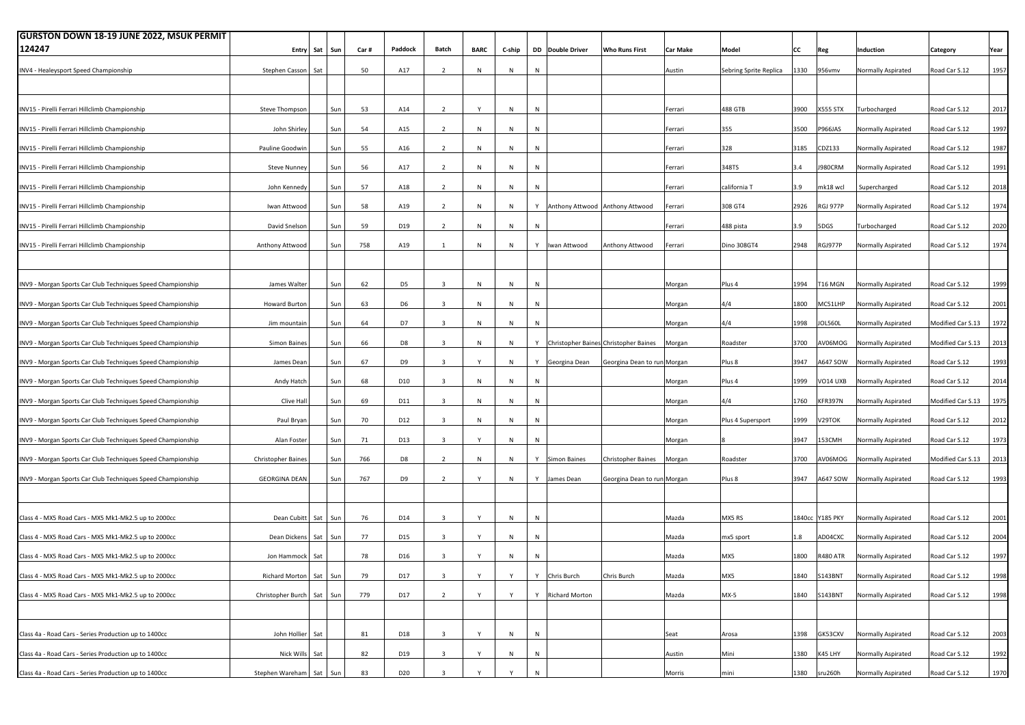| <b>GURSTON DOWN 18-19 JUNE 2022, MSUK PERMIT</b>            |                               |               |     |      |                 |                         |              |           |   |                         |                                       |                 |                        |      |                 |                             |                   |      |
|-------------------------------------------------------------|-------------------------------|---------------|-----|------|-----------------|-------------------------|--------------|-----------|---|-------------------------|---------------------------------------|-----------------|------------------------|------|-----------------|-----------------------------|-------------------|------|
| 124247                                                      |                               | Entry Sat Sun |     | Car# | Paddock         | Batch                   | <b>BARC</b>  | C-ship    |   | <b>DD</b> Double Driver | <b>Who Runs First</b>                 | <b>Car Make</b> | Model                  | CC   | Reg             | Induction                   | Category          | Year |
| INV4 - Healeysport Speed Championship                       | Stephen Casson                | Sat           |     | 50   | A17             | $\overline{2}$          | N            | N         | N |                         |                                       | Austin          | Sebring Sprite Replica | 1330 | 956vmv          | Normally Aspirated          | Road Car S.12     | 1957 |
|                                                             |                               |               |     |      |                 |                         |              |           |   |                         |                                       |                 |                        |      |                 |                             |                   |      |
|                                                             |                               |               |     |      |                 |                         |              |           |   |                         |                                       |                 |                        |      |                 |                             |                   |      |
| INV15 - Pirelli Ferrari Hillclimb Championship              | Steve Thompson                |               | Sun | 53   | A14             | $\overline{2}$          | $\mathsf{Y}$ | N         | N |                         |                                       | Ferrari         | 488 GTB                | 3900 | <b>X555 STX</b> | Turbocharged                | Road Car S.12     | 2017 |
| INV15 - Pirelli Ferrari Hillclimb Championship              | John Shirley                  |               | Sun | 54   | A15             | $\overline{2}$          | $\mathsf{N}$ | N         | N |                         |                                       | Ferrari         | 355                    | 3500 | P966JAS         | Normally Aspirated          | Road Car S.12     | 1997 |
| INV15 - Pirelli Ferrari Hillclimb Championship              | Pauline Goodwir               |               | Sun | 55   | A16             | $\overline{2}$          | N            | N         | N |                         |                                       | Ferrari         | 328                    | 3185 | CDZ133          | Normally Aspirated          | Road Car S.12     | 1987 |
| INV15 - Pirelli Ferrari Hillclimb Championship              | <b>Steve Nunney</b>           |               | Sun | 56   | A17             | $\overline{2}$          | $\mathsf{N}$ | N         | N |                         |                                       | Ferrari         | 348TS                  | 3.4  | <b>J980CRM</b>  | Normally Aspirated          | Road Car S.12     | 1991 |
| INV15 - Pirelli Ferrari Hillclimb Championship              | John Kennedy                  |               | Sun | 57   | A18             | $\overline{2}$          | ${\sf N}$    | N         | N |                         |                                       | Ferrari         | california T           | 3.9  | mk18 wcl        | Supercharged                | Road Car S.12     | 2018 |
| INV15 - Pirelli Ferrari Hillclimb Championship              | Iwan Attwood                  |               | Sun | 58   | A19             | $\overline{2}$          | N            | N         |   |                         | Y Anthony Attwood Anthony Attwood     | Ferrari         | 308 GT4                | 2926 | RGJ 977P        | Normally Aspirated          | Road Car S.12     | 1974 |
| INV15 - Pirelli Ferrari Hillclimb Championship              | David Snelsor                 |               | Sun | 59   | D19             | $\overline{2}$          | N            | N         | N |                         |                                       | Ferrari         | 488 pista              | 3.9  | 5DGS            | Turbocharged                | Road Car S.12     | 2020 |
|                                                             |                               |               |     |      |                 |                         |              |           |   |                         |                                       |                 |                        |      |                 |                             |                   |      |
| INV15 - Pirelli Ferrari Hillclimb Championship              | Anthony Attwood               |               | Sun | 758  | A19             | $\mathbf{1}$            | ${\sf N}$    | N         |   | Y   Iwan Attwood        | Anthony Attwood                       | Ferrari         | Dino 308GT4            | 2948 | RGJ977P         | Normally Aspirated          | Road Car S.12     | 1974 |
|                                                             |                               |               |     |      |                 |                         |              |           |   |                         |                                       |                 |                        |      |                 |                             |                   |      |
| INV9 - Morgan Sports Car Club Techniques Speed Championship | James Walter                  |               | Sun | 62   | D <sub>5</sub>  | $\overline{\mathbf{3}}$ | ${\sf N}$    | N         | N |                         |                                       | Morgan          | Plus 4                 | 1994 | <b>T16 MGN</b>  | Normally Aspirated          | Road Car S.12     | 1999 |
| INV9 - Morgan Sports Car Club Techniques Speed Championship | Howard Burton                 |               | Sun | 63   | D <sub>6</sub>  | $\overline{\mathbf{3}}$ | ${\sf N}$    | N         | N |                         |                                       | Morgan          | 4/4                    | 1800 | MC51LHP         | Normally Aspirated          | Road Car S.12     | 2001 |
| INV9 - Morgan Sports Car Club Techniques Speed Championship | Jim mountain                  |               | Sun | 64   | D7              | $\overline{\mathbf{3}}$ | N            | N         | N |                         |                                       | Morgan          | 4/4                    | 1998 | <b>IOL560L</b>  | Normally Aspirated          | Modified Car S.13 | 1972 |
| INV9 - Morgan Sports Car Club Techniques Speed Championship | Simon Baines                  |               | Sun | 66   | D <sub>8</sub>  | $\overline{\mathbf{3}}$ | N            | N         | Y |                         | Christopher Baines Christopher Baines | Morgan          | Roadster               | 3700 | AV06MOG         | Normally Aspirated          | Modified Car S.13 | 2013 |
| INV9 - Morgan Sports Car Club Techniques Speed Championship | James Dean                    |               | Sun | 67   | D <sub>9</sub>  | $\overline{\mathbf{3}}$ | $\mathsf{Y}$ | N         |   | Y Georgina Dean         | Georgina Dean to run Morgan           |                 | Plus 8                 | 3947 | A647 SOW        | Normally Aspirated          | Road Car S.12     | 1993 |
| INV9 - Morgan Sports Car Club Techniques Speed Championship | Andy Hatch                    |               | Sun | 68   | D10             | $\overline{\mathbf{3}}$ | N            | N         | N |                         |                                       | Morgan          | Plus 4                 | 1999 | VO14 UXB        | Normally Aspirated          | Road Car S.12     | 2014 |
| INV9 - Morgan Sports Car Club Techniques Speed Championship | Clive Hall                    |               | Sun | 69   | D11             | $\overline{\mathbf{3}}$ | N            | ${\sf N}$ | N |                         |                                       | Morgan          | 4/4                    | 1760 | KFR397N         | Normally Aspirated          | Modified Car S.13 | 1975 |
| INV9 - Morgan Sports Car Club Techniques Speed Championship | Paul Bryan                    |               | Sun | 70   | D12             | $\overline{\mathbf{3}}$ | N            | N         | N |                         |                                       | Morgan          | Plus 4 Supersport      | 1999 | V29TOK          | Normally Aspirated          | Road Car S.12     | 2012 |
|                                                             |                               |               |     | 71   | D13             | $\overline{\mathbf{3}}$ | Y            | N         | N |                         |                                       |                 |                        |      |                 |                             |                   | 1973 |
| INV9 - Morgan Sports Car Club Techniques Speed Championship | Alan Foster                   |               | Sun |      |                 |                         |              |           |   |                         |                                       | Morgan          |                        | 3947 | 153CMH          | Normally Aspirated          | Road Car S.12     |      |
| INV9 - Morgan Sports Car Club Techniques Speed Championship | Christopher Baines            |               | Sun | 766  | D <sub>8</sub>  | $\overline{2}$          | $\mathsf{N}$ | N         |   | Y Simon Baines          | Christopher Baines                    | Morgan          | Roadster               | 3700 | AV06MOG         | Normally Aspirated          | Modified Car S.13 | 2013 |
| INV9 - Morgan Sports Car Club Techniques Speed Championship | <b>GEORGINA DEAN</b>          |               | Sun | 767  | D <sub>9</sub>  | $\overline{2}$          |              | N         |   | Y James Dean            | Georgina Dean to run Morgan           |                 | Plus 8                 | 3947 |                 | A647 SOW Normally Aspirated | Road Car S.12     | 1993 |
|                                                             |                               |               |     |      |                 |                         |              |           |   |                         |                                       |                 |                        |      |                 |                             |                   |      |
| Class 4 - MX5 Road Cars - MX5 Mk1-Mk2.5 up to 2000cc        | Dean Cubitt                   | Sat           | Sun | 76   | D14             | $\overline{\mathbf{3}}$ | Y            | $\,$ N    | N |                         |                                       | Mazda           | MX5 RS                 |      | 1840cc Y185 PKY | Normally Aspirated          | Road Car S.12     | 2001 |
| Class 4 - MX5 Road Cars - MX5 Mk1-Mk2.5 up to 2000cc        | Dean Dickens                  | Sat Sun       |     | 77   | D15             | $\overline{\mathbf{3}}$ |              | N         | N |                         |                                       | Mazda           | mx5 sport              | 1.8  | AD04CXC         | Normally Aspirated          | Road Car S.12     | 2004 |
| Class 4 - MX5 Road Cars - MX5 Mk1-Mk2.5 up to 2000cc        | Jon Hammock                   | Sat           |     | 78   | D16             | $\overline{\mathbf{3}}$ |              | N         | N |                         |                                       | Mazda           | MX5                    | 1800 | R480 ATR        | Normally Aspirated          | Road Car S.12     | 1997 |
| Class 4 - MX5 Road Cars - MX5 Mk1-Mk2.5 up to 2000cc        | Richard Morton Sat Sun        |               |     | 79   | D17             | $\overline{a}$          |              | $\vee$    | Y | Chris Burch             | Chris Burch                           | Mazda           | MX5                    | 1840 | <b>S143BNT</b>  | Normally Aspirated          | Road Car S.12     | 1998 |
| Class 4 - MX5 Road Cars - MX5 Mk1-Mk2.5 up to 2000cc        | Christopher Burch   Sat   Sun |               |     | 779  | D17             | $\overline{2}$          | Y            | Y         |   | Y Richard Morton        |                                       | Mazda           | MX-5                   | 1840 | S143BNT         | Normally Aspirated          | Road Car S.12     | 1998 |
|                                                             |                               |               |     |      |                 |                         |              |           |   |                         |                                       |                 |                        |      |                 |                             |                   |      |
|                                                             |                               |               |     |      |                 |                         |              |           |   |                         |                                       |                 |                        |      |                 |                             |                   |      |
| Class 4a - Road Cars - Series Production up to 1400cc       | John Hollier Sat              |               |     | 81   | D18             | $\overline{\mathbf{3}}$ | Y            | N         | N |                         |                                       | Seat            | Arosa                  | 1398 | GK53CXV         | Normally Aspirated          | Road Car S.12     | 2003 |
| Class 4a - Road Cars - Series Production up to 1400cc       | Nick Wills                    | Sat           |     | 82   | D19             | $\overline{\mathbf{3}}$ | Y            | N         | N |                         |                                       | Austin          | Mini                   | 1380 | K45 LHY         | Normally Aspirated          | Road Car S.12     | 1992 |
| Class 4a - Road Cars - Series Production up to 1400cc       | Stephen Wareham               | Sat Sun       |     | 83   | D <sub>20</sub> | $\overline{3}$          |              | v         | N |                         |                                       | Morris          | mini                   | 1380 | sru260h         | Normally Aspirated          | Road Car S.12     | 1970 |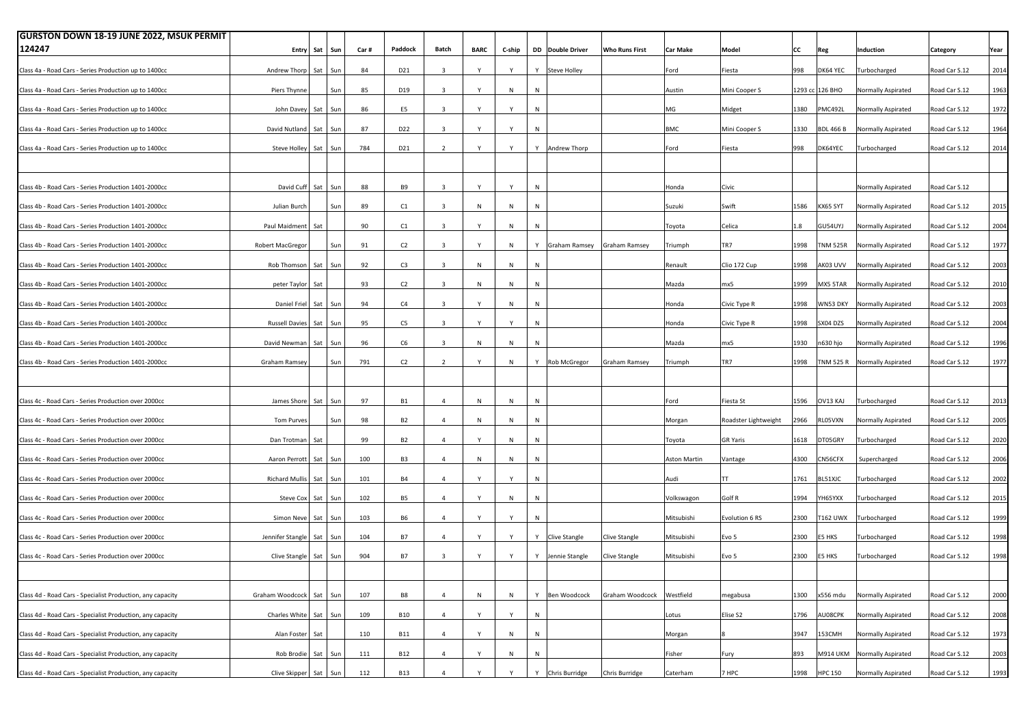| <b>GURSTON DOWN 18-19 JUNE 2022, MSUK PERMIT</b>           |                       |     |         |      |                 |                         |              |        |           |                  |                       |                     |                      |      |                  |                                     |               |      |
|------------------------------------------------------------|-----------------------|-----|---------|------|-----------------|-------------------------|--------------|--------|-----------|------------------|-----------------------|---------------------|----------------------|------|------------------|-------------------------------------|---------------|------|
| 124247                                                     | Entry                 | Sat | Sun     | Car# | Paddock         | Batch                   | <b>BARC</b>  | C-ship |           | DD Double Driver | <b>Who Runs First</b> | <b>Car Make</b>     | Model                | lcc  | Reg              | Induction                           | Category      | Year |
|                                                            |                       |     |         |      |                 |                         |              |        |           |                  |                       |                     |                      |      |                  |                                     |               |      |
| Class 4a - Road Cars - Series Production up to 1400cc      | Andrew Thorp          | Sat | Sun     | 84   | D21             | $\overline{3}$          | Y            | Y      |           | Y Steve Holley   |                       | Ford                | Fiesta               | 998  | DK64 YEC         | Turbocharged                        | Road Car S.12 | 2014 |
| Class 4a - Road Cars - Series Production up to 1400cc      | Piers Thynne          |     | Sun     | 85   | D19             | $\overline{\mathbf{3}}$ | Y            | N      | ${\sf N}$ |                  |                       | Austin              | Mini Cooper S        |      | 1293 cc 126 BHO  | Normally Aspirated                  | Road Car S.12 | 1963 |
| Class 4a - Road Cars - Series Production up to 1400cc      | John Davey            |     | Sat Sun | 86   | E5              | $\overline{\mathbf{3}}$ | Y            | Y      | ${\sf N}$ |                  |                       | MG                  | Midget               | 1380 | MC492L           | Normally Aspirated                  | Road Car S.12 | 1972 |
| Class 4a - Road Cars - Series Production up to 1400cc      | David Nutland         | Sat | Sun     | 87   | D <sub>22</sub> | $\overline{3}$          | Y            | Y      | N         |                  |                       | <b>BMC</b>          | Mini Cooper S        | 1330 | <b>BDL 466 B</b> | Normally Aspirated                  | Road Car S.12 | 1964 |
| Class 4a - Road Cars - Series Production up to 1400cc      | Steve Holley          | Sat | Sun     | 784  | D21             | $\overline{2}$          | Y            | Y      |           | Y Andrew Thorp   |                       | Ford                | Fiesta               | 998  | DK64YEC          | Turbocharged                        | Road Car S.12 | 2014 |
|                                                            |                       |     |         |      |                 |                         |              |        |           |                  |                       |                     |                      |      |                  |                                     |               |      |
| Class 4b - Road Cars - Series Production 1401-2000cc       | David Cuff            | Sat | Sun     | 88   | <b>B9</b>       | $\overline{\mathbf{3}}$ | Y            | Y      | N         |                  |                       | Honda               | Civic                |      |                  | Normally Aspirated                  | Road Car S.12 |      |
| Class 4b - Road Cars - Series Production 1401-2000cc       | Julian Burch          |     | Sun     | 89   | C1              | $\overline{3}$          | ${\sf N}$    | N      | ${\sf N}$ |                  |                       | Suzuki              | Swift                | 1586 | KX65 SYT         | Normally Aspirated                  | Road Car S.12 | 2015 |
| Class 4b - Road Cars - Series Production 1401-2000cc       | Paul Maidment         | Sat |         | 90   | C1              | $\overline{\mathbf{3}}$ | Y            | N      | ${\sf N}$ |                  |                       | Toyota              | Celica               | 1.8  | GU54UYJ          | Normally Aspirated                  | Road Car S.12 | 2004 |
| Class 4b - Road Cars - Series Production 1401-2000cc       | Robert MacGregor      |     | Sun     | 91   | C <sub>2</sub>  | $\overline{3}$          | Y            | N      |           | Y Graham Ramsey  | Graham Ramsey         | Triumph             | TR7                  | 1998 | NM 525R          | Normally Aspirated                  | Road Car S.12 | 1977 |
| Class 4b - Road Cars - Series Production 1401-2000cc       | Rob Thomson           | Sat | Sun     | 92   | C <sub>3</sub>  | $\overline{\mathbf{3}}$ | ${\sf N}$    | N      | ${\sf N}$ |                  |                       | Renault             | Clio 172 Cup         | 1998 | AKO3 UVV         | Normally Aspirated                  | Road Car S.12 | 2003 |
| Class 4b - Road Cars - Series Production 1401-2000cc       | peter Taylor          | Sat |         | 93   | C <sub>2</sub>  | $\overline{\mathbf{3}}$ | ${\sf N}$    | N      | ${\sf N}$ |                  |                       | Mazda               | mx5                  | 1999 | MX5 5TAR         | Normally Aspirated                  | Road Car S.12 | 2010 |
| Class 4b - Road Cars - Series Production 1401-2000cc       | <b>Daniel Friel</b>   | Sat | Sun     | 94   | C4              | $\overline{3}$          | Y            | N      | N         |                  |                       | Honda               | Civic Type R         | 1998 | WN53 DKY         | Normally Aspirated                  | Road Car S.12 | 2003 |
|                                                            |                       |     |         |      |                 |                         |              | Y      |           |                  |                       |                     |                      |      |                  |                                     |               |      |
| Class 4b - Road Cars - Series Production 1401-2000cc       | <b>Russell Davies</b> | Sat | Sun     | 95   | C5              | $\overline{\mathbf{3}}$ | Y            |        | ${\sf N}$ |                  |                       | Honda               | Civic Type R         | 1998 | SX04 DZS         | Normally Aspirated                  | Road Car S.12 | 2004 |
| Class 4b - Road Cars - Series Production 1401-2000cc       | David Newman          |     | Sat Sun | 96   | C <sub>6</sub>  | $\overline{\mathbf{3}}$ | ${\sf N}$    | N      | ${\sf N}$ |                  |                       | Mazda               | mx5                  | 1930 | n630 hjo         | Normally Aspirated                  | Road Car S.12 | 1996 |
| Class 4b - Road Cars - Series Production 1401-2000cc       | Graham Ramse          |     | Sun     | 791  | C <sub>2</sub>  | $\overline{2}$          | Y            | N      |           | Y Rob McGregor   | <b>Graham Ramsey</b>  | Triumph             | TR7                  | 1998 |                  | <b>INM 525 R</b> Normally Aspirated | Road Car S.12 | 1977 |
|                                                            |                       |     |         |      |                 |                         |              |        |           |                  |                       |                     |                      |      |                  |                                     |               |      |
| Class 4c - Road Cars - Series Production over 2000cc       | James Shore           |     | Sat Sun | 97   | <b>B1</b>       | $\overline{4}$          | ${\sf N}$    | N      | N         |                  |                       | Ford                | Fiesta St            | 1596 | OV13 KAJ         | Turbocharged                        | Road Car S.12 | 2013 |
| Class 4c - Road Cars - Series Production over 2000cc       | Tom Purves            |     | Sun     | 98   | <b>B2</b>       | $\overline{4}$          | N            | N      | ${\sf N}$ |                  |                       | Morgan              | Roadster Lightweight | 2966 | LO5VXN           | Normally Aspirated                  | Road Car S.12 | 2005 |
| Class 4c - Road Cars - Series Production over 2000cc       | Dan Trotman           | Sat |         | 99   | B <sub>2</sub>  | 4                       | Y            | N      | ${\sf N}$ |                  |                       | Toyota              | <b>GR Yaris</b>      | 1618 | DT05GRY          | Turbocharged                        | Road Car S.12 | 2020 |
|                                                            |                       |     |         |      |                 |                         |              |        |           |                  |                       |                     |                      |      |                  |                                     |               |      |
| Class 4c - Road Cars - Series Production over 2000cc       | Aaron Perrott         |     | Sat Sun | 100  | B <sub>3</sub>  | $\overline{4}$          | ${\sf N}$    | N      | ${\sf N}$ |                  |                       | <b>Aston Martin</b> | Vantage              | 4300 | CN56CFX          | Supercharged                        | Road Car S.12 | 2006 |
| Class 4c - Road Cars - Series Production over 2000cc       | Richard Mulli         | Sat | Sun     | 101  | <b>B4</b>       | $\overline{4}$          | $\mathsf{v}$ | Y      | ${\sf N}$ |                  |                       | Audi                | TT                   | 1761 | L51XJC           | Turbocharged                        | Road Car S.12 | 2002 |
| Class 4c - Road Cars - Series Production over 2000cc       | Steve Cox             | Sat | Sun     | 102  | B <sub>5</sub>  | $\overline{4}$          | Y            | N      | ${\sf N}$ |                  |                       | Volkswagon          | Golf R               | 1994 | YH65YXX          | Turbocharged                        | Road Car S.12 | 2015 |
| Class 4c - Road Cars - Series Production over 2000cc       | Simon Neve            |     | Sat Sun | 103  | <b>B6</b>       | $\overline{4}$          | Y            | Y      | ${\sf N}$ |                  |                       | Mitsubishi          | Evolution 6 RS       | 2300 | 162 UWX          | Turbocharged                        | Road Car S.12 | 1999 |
| Class 4c - Road Cars - Series Production over 2000cc       | Jennifer Stangle      | Sat | Sun     | 104  | <b>B7</b>       | $\overline{4}$          | Y            | Y      |           | Y Clive Stangle  | Clive Stangle         | Mitsubishi          | Evo 5                | 2300 | E5 HKS           | Turbocharged                        | Road Car S.12 | 1998 |
| Class 4c - Road Cars - Series Production over 2000cc       | Clive Stangle         | Sat | Sun     | 904  | <b>B7</b>       | $\overline{\mathbf{3}}$ | Y            | Y      |           | Y Jennie Stangle | Clive Stangle         | Mitsubishi          | Evo 5                | 2300 | E5 HKS           | Turbocharged                        | Road Car S.12 | 1998 |
|                                                            |                       |     |         |      |                 |                         |              |        |           |                  |                       |                     |                      |      |                  |                                     |               |      |
| Class 4d - Road Cars - Specialist Production, any capacity | Graham Woodcock       |     | Sat Sun | 107  | B8              | $\overline{4}$          | N            | N      |           | Y Ben Woodcock   | Graham Woodcock       | Westfield           | megabusa             | 1300 | x556 mdu         | Normally Aspirated                  | Road Car S.12 | 2000 |
| Class 4d - Road Cars - Specialist Production, any capacity | Charles White Sat Sun |     |         | 109  | <b>B10</b>      | $\overline{a}$          | Y            | Y      | N         |                  |                       | Lotus               | Elise S2             | 1796 | AU08CPK          | Normally Aspirated                  | Road Car S.12 | 2008 |
|                                                            |                       |     |         |      |                 |                         |              |        |           |                  |                       |                     |                      |      |                  |                                     |               |      |
| Class 4d - Road Cars - Specialist Production, any capacity | Alan Foster           | Sat |         | 110  | <b>B11</b>      | $\overline{4}$          | Y            | N      | N         |                  |                       | Morgan              |                      | 3947 | 153CMH           | Normally Aspirated                  | Road Car S.12 | 1973 |
| Class 4d - Road Cars - Specialist Production, any capacity | Rob Brodie            | Sat | Sun     | 111  | <b>B12</b>      | $\overline{4}$          |              | N      | N         |                  |                       | Fisher              | Fury                 | 893  |                  | M914 UKM Normally Aspirated         | Road Car S.12 | 2003 |
| Class 4d - Road Cars - Specialist Production, any capacity | Clive Skipper         |     | Sat Sun | 112  | <b>B13</b>      | $\overline{4}$          |              | Y      |           | Y Chris Burridge | Chris Burridge        | Caterham            | 7 HPC                | 1998 | <b>HPC 150</b>   | Normally Aspirated                  | Road Car S.12 | 1993 |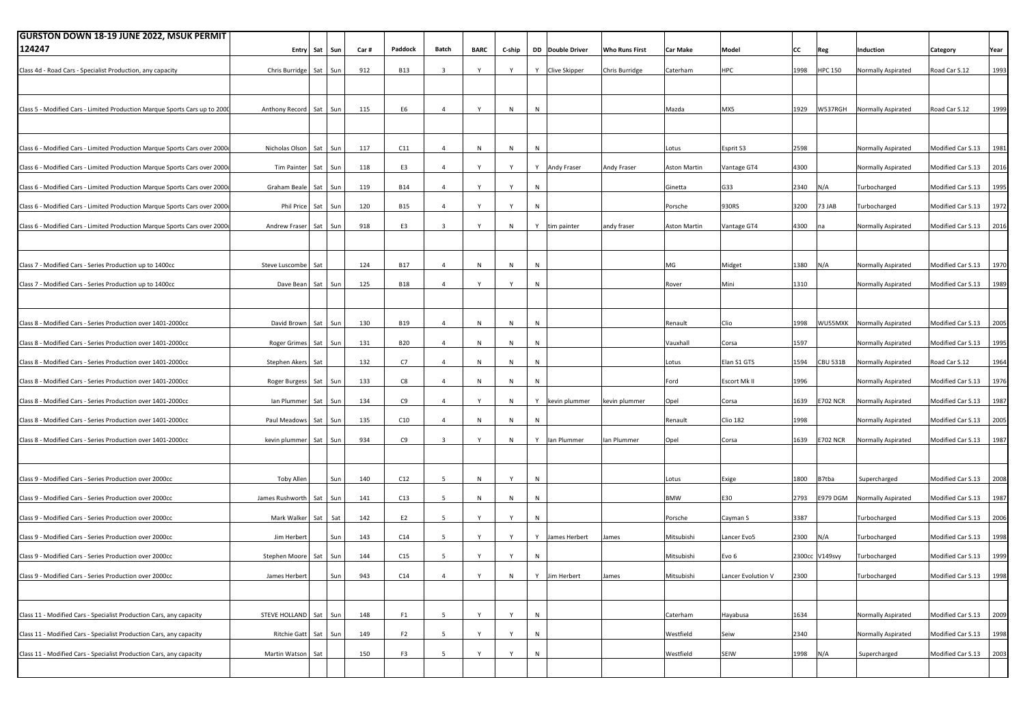| <b>GURSTON DOWN 18-19 JUNE 2022, MSUK PERMIT</b>                           |                          |     |         |      |                |                         |              |              |   |                  |                       |                 |                    |      |                 |                    |                        |      |
|----------------------------------------------------------------------------|--------------------------|-----|---------|------|----------------|-------------------------|--------------|--------------|---|------------------|-----------------------|-----------------|--------------------|------|-----------------|--------------------|------------------------|------|
| 124247                                                                     | <b>Entry</b>             | Sat | Sun     | Car# | Paddock        | Batch                   | <b>BARC</b>  | C-ship       |   | DD Double Driver | <b>Who Runs First</b> | <b>Car Make</b> | Model              | СC   | Reg             | Induction          | Category               | Year |
| Class 4d - Road Cars - Specialist Production, any capacity                 | Chris Burridge Sat       |     | Sun     | 912  | <b>B13</b>     | $\overline{\mathbf{3}}$ | Y            | Y            |   | Y Clive Skipper  | Chris Burridge        | Caterham        | HPC                | 1998 | <b>HPC 150</b>  | Normally Aspirated | Road Car S.12          | 1993 |
|                                                                            |                          |     |         |      |                |                         |              |              |   |                  |                       |                 |                    |      |                 |                    |                        |      |
| Class 5 - Modified Cars - Limited Production Marque Sports Cars up to 2000 | Anthony Record Sat       |     | Sun     | 115  | E6             | $\overline{4}$          | Y            | ${\sf N}$    | N |                  |                       | Mazda           | MX5                | 1929 | W537RGH         | Normally Aspirated | Road Car S.12          | 1999 |
|                                                                            |                          |     |         |      |                |                         |              |              |   |                  |                       |                 |                    |      |                 |                    |                        |      |
| Class 6 - Modified Cars - Limited Production Marque Sports Cars over 2000  | Nicholas Olson           |     | Sat Sun | 117  | C11            | $\overline{4}$          | N            | N            | N |                  |                       | Lotus           | Esprit S3          | 2598 |                 | Normally Aspirated | Modified Car S.13      | 1981 |
| Class 6 - Modified Cars - Limited Production Marque Sports Cars over 2000  | Tim Painter              | Sat | Sun     | 118  | E3             | $\overline{4}$          | Y            | Y            |   | Y Andy Fraser    | Andy Fraser           | Aston Martin    | Vantage GT4        | 4300 |                 | Normally Aspirated | Modified Car S.13      | 2016 |
| Class 6 - Modified Cars - Limited Production Marque Sports Cars over 2000  | Graham Beale Sat Sun     |     |         | 119  | <b>B14</b>     | $\overline{4}$          | Y            | Y            | N |                  |                       | Ginetta         | G33                | 2340 | N/A             | Turbocharged       | Modified Car S.13      | 1995 |
| Class 6 - Modified Cars - Limited Production Marque Sports Cars over 2000  | Phil Price               | Sat | Sun     | 120  | <b>B15</b>     | $\overline{4}$          | Υ            | Y            | N |                  |                       | Porsche         | 930RS              | 3200 | 73 JAB          | Turbocharged       | Modified Car S.13      | 1972 |
| Class 6 - Modified Cars - Limited Production Marque Sports Cars over 2000  | Andrew Fraser            | Sat | Sun     | 918  | E3             | $\overline{\mathbf{3}}$ | Y            | N            |   | Y tim painter    | andy fraser           | Aston Martin    | Vantage GT4        | 4300 | na              | Normally Aspirated | Modified Car S.13      | 2016 |
| Class 7 - Modified Cars - Series Production up to 1400cc                   | Steve Luscombe           | Sat |         | 124  | <b>B17</b>     | $\overline{4}$          | N            | N            | N |                  |                       | MG              | Midget             | 1380 | N/A             | Normally Aspirated | Modified Car S.13      | 1970 |
|                                                                            |                          |     |         |      |                |                         |              |              |   |                  |                       |                 |                    |      |                 |                    |                        |      |
| Class 7 - Modified Cars - Series Production up to 1400cc                   | Dave Bean                | Sat | Sun     | 125  | <b>B18</b>     | $\overline{4}$          | Υ            | Y            | N |                  |                       | Rover           | Mini               | 1310 |                 | Normally Aspirated | Modified Car S.13      | 1989 |
| Class 8 - Modified Cars - Series Production over 1401-2000cc               | David Brown              | Sat | Sun     | 130  | <b>B19</b>     | $\overline{4}$          | $\mathsf{N}$ | N            | N |                  |                       | Renault         | Clio               | 1998 | WU55MXK         | Normally Aspirated | Modified Car S.13      | 2005 |
| Class 8 - Modified Cars - Series Production over 1401-2000cc               | Roger Grimes Sat Sun     |     |         | 131  | <b>B20</b>     | $\overline{4}$          | $\,$ N       | N            | N |                  |                       | Vauxhall        | Corsa              | 1597 |                 | Normally Aspirated | Modified Car S.13      | 1995 |
| Class 8 - Modified Cars - Series Production over 1401-2000cc               | Stephen Akers Sat        |     |         | 132  | C7             | $\overline{4}$          | $\,$ N       | N            | N |                  |                       | Lotus           | Elan S1 GTS        | 1594 | CBU 531B        | Normally Aspirated | Road Car S.12          | 1964 |
| Class 8 - Modified Cars - Series Production over 1401-2000cc               | Roger Burgess Sat        |     | Sun     | 133  | C8             | $\overline{4}$          | N            | N            | N |                  |                       | Ford            | Escort Mk II       | 1996 |                 | Normally Aspirated | Modified Car S.13      | 1976 |
| Class 8 - Modified Cars - Series Production over 1401-2000cc               | lan Plummer              | Sat | Sun     | 134  | C <sub>9</sub> | $\overline{4}$          | Y            | N            |   | Y kevin plummer  | kevin plummer         | Opel            | Corsa              | 1639 | <b>E702 NCR</b> | Normally Aspirated | Modified Car S.13      | 1987 |
| Class 8 - Modified Cars - Series Production over 1401-2000cc               | Paul Meadows             | Sat | Sun     | 135  | C10            | $\overline{4}$          | N            | N            | N |                  |                       | Renault         | <b>Clio 182</b>    | 1998 |                 | Normally Aspirated | Modified Car S.13      | 2005 |
| Class 8 - Modified Cars - Series Production over 1401-2000cc               | kevin plummer Sat Sun    |     |         | 934  | C <sub>9</sub> | $\overline{\mathbf{3}}$ | Υ            | N            |   | Y   Ian Plummer  | lan Plummer           | Opel            | Corsa              | 1639 | <b>E702 NCR</b> | Normally Aspirated | Modified Car S.13      | 1987 |
| Class 9 - Modified Cars - Series Production over 2000cc                    | <b>Toby Allen</b>        |     | Sun     | 140  | C12            | $5\overline{5}$         | N            | Y            | N |                  |                       | Lotus           | Exige              | 1800 | B7tba           | Supercharged       | Modified Car S.13      | 2008 |
| Class 9 - Modified Cars - Series Production over 2000cc                    | James Rushworth          | Sat | Sun     | 141  | C13            | 5                       | N            | N            | N |                  |                       | <b>BMW</b>      | E30                | 2793 | E979 DGM        | Normally Aspirated | Modified Car S.13      | 1987 |
| Class 9 - Modified Cars - Series Production over 2000cc                    | Mark Walker              | Sat | Sat     | 142  | E <sub>2</sub> | $5\overline{5}$         | Y            | Y            | N |                  |                       | Porsche         | Cayman S           | 3387 |                 | Turbocharged       | Modified Car S.13      | 2006 |
| Class 9 - Modified Cars - Series Production over 2000cc                    | Jim Herbert              |     | Sun     | 143  | C14            | $5\overline{5}$         | Y            | Y            |   | Y James Herbert  | James                 | Mitsubishi      | Lancer Evo5        | 2300 | N/A             | Turbocharged       | Modified Car S.13      | 1998 |
| Class 9 - Modified Cars - Series Production over 2000cc                    | Stephen Moore Sat        |     | Sun     | 144  | C15            | 5                       |              | Y            | N |                  |                       | Mitsubishi      | Evo 6              |      | 2300cc V149svy  | Turbocharged       | Modified Car S.13      | 1999 |
| Class 9 - Modified Cars - Series Production over 2000cc                    | James Herhert            |     | Sun     | 943  | C14            | $\Delta$                | $\mathsf{v}$ | $\mathsf{N}$ | Y | lim Herbert      | ames                  | Mitsuhishi      | Lancer Evolution V | 2300 |                 | Turbocharged       | Modified Car S.13 1998 |      |
| Class 11 - Modified Cars - Specialist Production Cars, any capacity        | STEVE HOLLAND Sat        |     | Sun     | 148  | F <sub>1</sub> | $5\overline{5}$         | Y            | Y            | N |                  |                       | Caterham        | Hayabusa           | 1634 |                 | Normally Aspirated | Modified Car S.13      | 2009 |
| Class 11 - Modified Cars - Specialist Production Cars, any capacity        | Ritchie Gatt   Sat   Sun |     |         | 149  | F <sub>2</sub> | $5\overline{5}$         | Y            | Y            | N |                  |                       | Westfield       | Seiw               | 2340 |                 | Normally Aspirated | Modified Car S.13      | 1998 |
| Class 11 - Modified Cars - Specialist Production Cars, any capacity        | Martin Watson            | Sat |         | 150  | F <sub>3</sub> | 5                       | Y            | Y            | N |                  |                       | Westfield       | SEIW               | 1998 | N/A             | Supercharged       | Modified Car S.13      | 2003 |
|                                                                            |                          |     |         |      |                |                         |              |              |   |                  |                       |                 |                    |      |                 |                    |                        |      |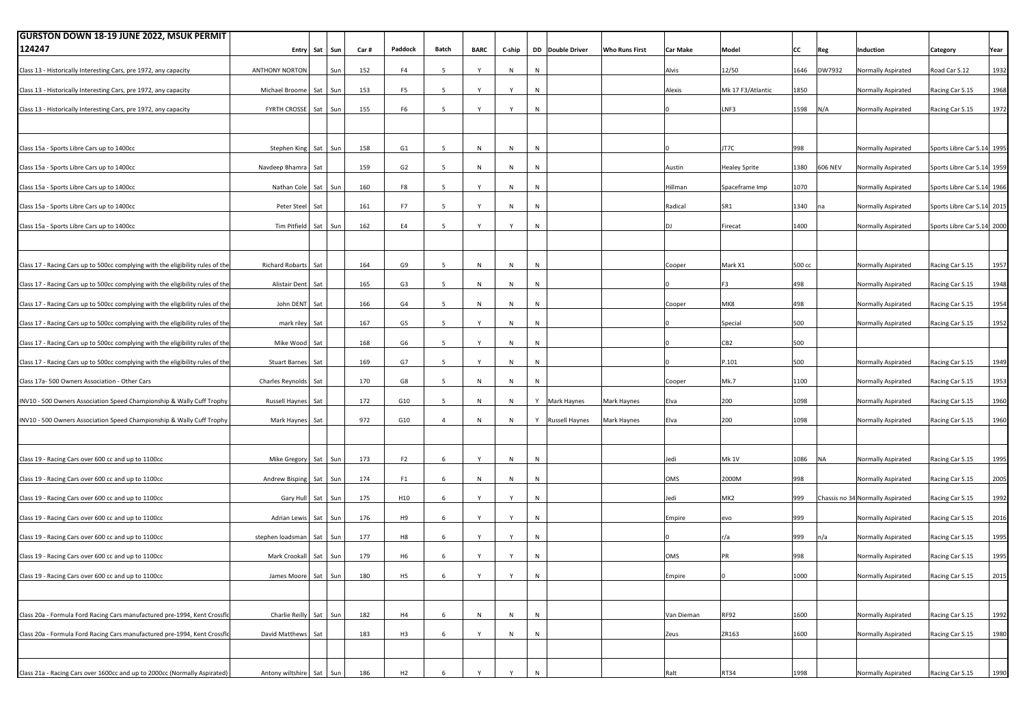| <b>GURSTON DOWN 18-19 JUNE 2022, MSUK PERMIT</b>                               |                          |         |         |      |                |                 |              |        |              |                  |                       |                 |                      |        |           |                                  |                            |      |
|--------------------------------------------------------------------------------|--------------------------|---------|---------|------|----------------|-----------------|--------------|--------|--------------|------------------|-----------------------|-----------------|----------------------|--------|-----------|----------------------------------|----------------------------|------|
| 124247                                                                         | Entry                    | Sat     | Sun     | Car# | Paddock        | Batch           | <b>BARC</b>  | C-ship |              | DD Double Driver | <b>Who Runs First</b> | <b>Car Make</b> | Model                | CC     | Reg       | Induction                        | <b>Category</b>            | Year |
| Class 13 - Historically Interesting Cars, pre 1972, any capacity               | <b>ANTHONY NORTON</b>    |         | Sun     | 152  | F4             | 5               | $\mathsf{Y}$ | $\,$ N | N            |                  |                       | Alvis           | 12/50                | 1646   | DW7932    | Normally Aspirated               | Road Car S.12              | 1932 |
| Class 13 - Historically Interesting Cars, pre 1972, any capacity               | Michael Broome           | Sat     | Sun     | 153  | F <sub>5</sub> | 5               | $\mathsf{Y}$ | Y      | N            |                  |                       | Alexis          | Mk 17 F3/Atlantic    | 1850   |           | Normally Aspirated               | Racing Car S.15            | 1968 |
| Class 13 - Historically Interesting Cars, pre 1972, any capacity               | <b>FYRTH CROSSE</b>      | Sat Sun |         | 155  | F <sub>6</sub> | $5\overline{ }$ | Y            | Y      | N            |                  |                       |                 | LNF3                 | 1598   | N/A       | Normally Aspirated               | Racing Car S.15            | 1972 |
|                                                                                |                          |         |         |      |                |                 |              |        |              |                  |                       |                 |                      |        |           |                                  |                            |      |
|                                                                                |                          |         |         |      |                |                 |              |        |              |                  |                       |                 |                      |        |           |                                  |                            |      |
| Class 15a - Sports Libre Cars up to 1400cc                                     | Stephen King Sat Sun     |         |         | 158  | G <sub>1</sub> | 5               | N            | N      | N            |                  |                       |                 | JT7C                 | 998    |           | Normally Aspirated               | Sports Libre Car S.14 1995 |      |
| Class 15a - Sports Libre Cars up to 1400cc                                     | Navdeep Bhamra           | Sat     |         | 159  | G <sub>2</sub> | $5\overline{ }$ | ${\sf N}$    | N      | N            |                  |                       | Austin          | <b>Healey Sprite</b> | 1380   | 606 NEV   | Normally Aspirated               | Sports Libre Car S.14 1959 |      |
| Class 15a - Sports Libre Cars up to 1400cc                                     | Nathan Cole Sat Sun      |         |         | 160  | F8             | $5\overline{ }$ | Y            | $\,$ N | ${\sf N}$    |                  |                       | Hillman         | Spaceframe Imp       | 1070   |           | Normally Aspirated               | Sports Libre Car S.14 1966 |      |
| Class 15a - Sports Libre Cars up to 1400cc                                     | Peter Steel              | Sat     |         | 161  | F7             | 5               | $\mathsf{Y}$ | N      | N            |                  |                       | Radical         | SR1                  | 1340   | na        | Normally Aspirated               | Sports Libre Car S.14 2015 |      |
| Class 15a - Sports Libre Cars up to 1400cc                                     | Tim Pitfield             | Sat Sun |         | 162  | E4             | 5 <sup>5</sup>  | Y            | Y      | N            |                  |                       | DJ.             | Firecat              | 1400   |           | Normally Aspirated               | Sports Libre Car S.14 2000 |      |
|                                                                                |                          |         |         |      |                |                 |              |        |              |                  |                       |                 |                      |        |           |                                  |                            |      |
|                                                                                |                          |         |         |      |                |                 |              |        |              |                  |                       |                 |                      |        |           |                                  |                            |      |
| Class 17 - Racing Cars up to 500cc complying with the eligibility rules of the | <b>Richard Robarts</b>   | Sat     |         | 164  | G9             | 5               | ${\sf N}$    | N      | N            |                  |                       | Cooper          | Mark X1              | 500 cc |           | Normally Aspirated               | Racing Car S.15            | 1957 |
| Class 17 - Racing Cars up to 500cc complying with the eligibility rules of the | Alistair Dent            | Sat     |         | 165  | G3             | $5\overline{ }$ | ${\sf N}$    | $\,$ N | N            |                  |                       |                 | F3                   | 498    |           | Normally Aspirated               | Racing Car S.15            | 1948 |
| Class 17 - Racing Cars up to 500cc complying with the eligibility rules of the | John DENT                | Sat     |         | 166  | G4             | $5\overline{ }$ | ${\sf N}$    | $\,$ N | N            |                  |                       | Cooper          | MK8                  | 498    |           | Normally Aspirated               | Racing Car S.15            | 1954 |
| Class 17 - Racing Cars up to 500cc complying with the eligibility rules of the | mark riley               | Sat     |         | 167  | G5             | 5               | Y            | N      | N            |                  |                       |                 | Special              | 500    |           | Normally Aspirated               | Racing Car S.15            | 1952 |
| Class 17 - Racing Cars up to 500cc complying with the eligibility rules of the | Mike Wood                | Sat     |         | 168  | G6             | 5 <sup>5</sup>  | Y            | $\,$ N | N            |                  |                       |                 | CB <sub>2</sub>      | 500    |           |                                  |                            |      |
| Class 17 - Racing Cars up to 500cc complying with the eligibility rules of the | <b>Stuart Barnes</b>     | Sat     |         | 169  | G7             | $5\overline{ }$ | Y            | $\,$ N | N            |                  |                       |                 | P.101                | 500    |           | Normally Aspirated               | Racing Car S.15            | 1949 |
|                                                                                |                          |         |         |      |                |                 |              |        |              |                  |                       |                 |                      |        |           |                                  |                            |      |
| Class 17a-500 Owners Association - Other Cars                                  | Charles Reynolds         | Sat     |         | 170  | G8             | 5               | ${\sf N}$    | N      | N            |                  |                       | Cooper          | Mk.7                 | 1100   |           | Normally Aspirated               | Racing Car S.15            | 1953 |
| INV10 - 500 Owners Association Speed Championship & Wally Cuff Trophy          | <b>Russell Haynes</b>    | Sat     |         | 172  | G10            | $5^{\circ}$     | ${\sf N}$    | $\,$ N |              | Y Mark Haynes    | Mark Haynes           | Elva            | 200                  | 1098   |           | Normally Aspirated               | Racing Car S.15            | 1960 |
| INV10 - 500 Owners Association Speed Championship & Wally Cuff Trophy          | Mark Haynes              | Sat     |         | 972  | G10            | $\overline{4}$  | ${\sf N}$    | N      |              | Y Russell Haynes | Mark Haynes           | Elva            | 200                  | 1098   |           | Normally Aspirated               | Racing Car S.15            | 1960 |
|                                                                                |                          |         |         |      |                |                 |              |        |              |                  |                       |                 |                      |        |           |                                  |                            |      |
| Class 19 - Racing Cars over 600 cc and up to 1100cc                            | Mike Gregory             | Sat Sun |         | 173  | F <sub>2</sub> | 6               | Y            | $\,$ N | N            |                  |                       | Jedi            | <b>Mk 1V</b>         | 1086   | <b>NA</b> | Normally Aspirated               | Racing Car S.15            | 1995 |
| Class 19 - Racing Cars over 600 cc and up to 1100cc                            | Andrew Bisping           | Sat Sun |         | 174  | F <sub>1</sub> | 6               | N            | $\,$ N | N            |                  |                       | OMS             | 2000M                | 998    |           | Normally Aspirated               | Racing Car S.15            | 2005 |
| Class 19 - Racing Cars over 600 cc and up to 1100cc                            | Gary Hull                | Sat     | Sun     | 175  | H10            | 6               |              | Y      | N            |                  |                       | Jedi            | MK2                  | 999    |           | Chassis no 34 Normally Aspirated | Racing Car S.15            | 1992 |
| Class 19 - Racing Cars over 600 cc and up to 1100cc                            | Adrian Lewis             | Sat Sun |         | 176  | H <sub>9</sub> | 6               | Y            | Y      | N            |                  |                       | Empire          | evo                  | 999    |           | Normally Aspirated               | Racing Car S.15            | 2016 |
|                                                                                |                          |         |         |      |                |                 | Y            |        |              |                  |                       |                 |                      |        |           |                                  |                            |      |
| Class 19 - Racing Cars over 600 cc and up to 1100cc                            | stephen loadsman         | Sat Sun |         | 177  | H <sub>8</sub> | $6\phantom{.0}$ |              | Y      | N            |                  |                       |                 | r/a                  | 999    | n/a       | Normally Aspirated               | Racing Car S.15            | 1995 |
| Class 19 - Racing Cars over 600 cc and up to 1100cc                            | Mark Crookall            |         | Sat Sun | 179  | H6             | 6               |              | Y      | N            |                  |                       | OMS             | PR                   | 998    |           | Normally Aspirated               | Racing Car S.15            | 1995 |
| Class 19 - Racing Cars over 600 cc and up to 1100cc                            | James Moorel Sat   Sun   |         |         | 180  | <b>H5</b>      | 6               | $\mathsf{v}$ | Y      | $\mathsf{N}$ |                  |                       | Empire          |                      | 1000   |           | Normally Asnirated               | Racing Car S.15            | 2015 |
|                                                                                |                          |         |         |      |                |                 |              |        |              |                  |                       |                 |                      |        |           |                                  |                            |      |
| Class 20a - Formula Ford Racing Cars manufactured pre-1994, Kent Crossflo      | Charlie Reilly           | Sat Sun |         | 182  | H4             | 6               | N            | N      | N            |                  |                       | Van Dieman      | <b>RF92</b>          | 1600   |           | Normally Aspirated               | Racing Car S.15            | 1992 |
| Class 20a - Formula Ford Racing Cars manufactured pre-1994, Kent Crossfld      | David Matthews           | Sat     |         | 183  | H <sub>3</sub> | 6               | $\mathsf{Y}$ | N      | N            |                  |                       | Zeus            | ZR163                | 1600   |           | Normally Aspirated               | Racing Car S.15            | 1980 |
|                                                                                |                          |         |         |      |                |                 |              |        |              |                  |                       |                 |                      |        |           |                                  |                            |      |
|                                                                                |                          |         |         |      |                |                 |              |        |              |                  |                       |                 |                      |        |           |                                  |                            |      |
| Class 21a - Racing Cars over 1600cc and up to 2000cc (Normally Aspirated)      | Antony wiltshire Sat Sun |         |         | 186  | H2             |                 |              |        |              |                  |                       | Ralt            | RT34                 | 1998   |           | Normally Aspirated               | Racing Car S.15            | 1990 |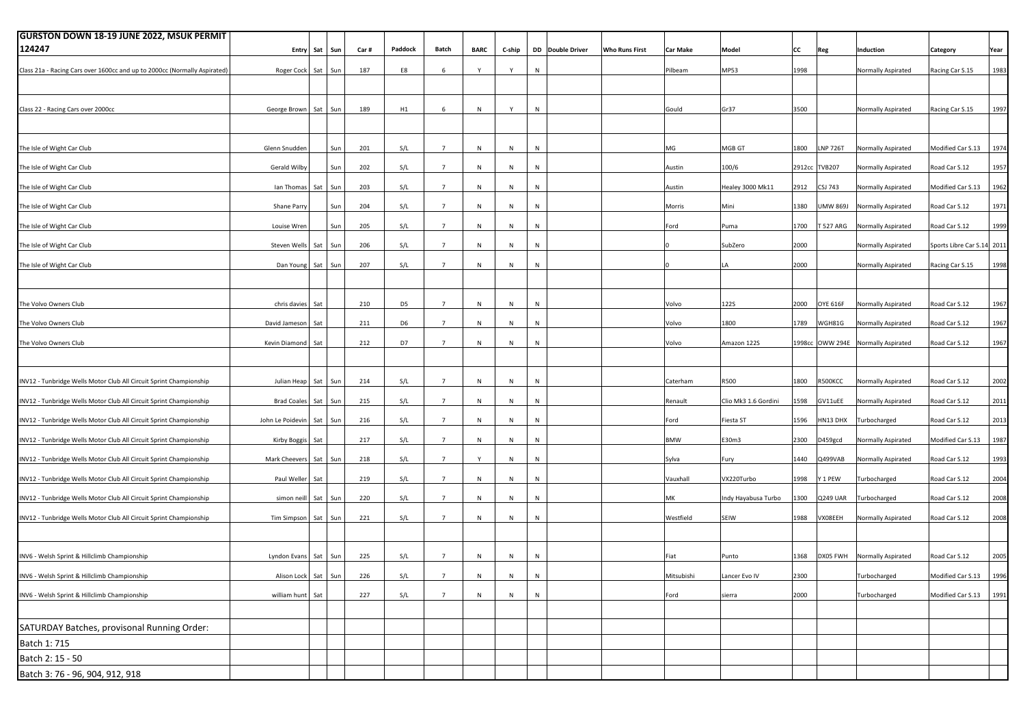| <b>GURSTON DOWN 18-19 JUNE 2022, MSUK PERMIT</b>                          |                      |         |     |      |                |                 |              |           |           |                  |                       |                 |                      |      |                 |                                    |                            |      |
|---------------------------------------------------------------------------|----------------------|---------|-----|------|----------------|-----------------|--------------|-----------|-----------|------------------|-----------------------|-----------------|----------------------|------|-----------------|------------------------------------|----------------------------|------|
| 124247                                                                    | Entry                | Sat     | Sun | Car# | Paddock        | Batch           | <b>BARC</b>  | C-ship    |           | DD Double Driver | <b>Who Runs First</b> | <b>Car Make</b> | Model                | cc   | Reg             | Induction                          | Category                   | Year |
| Class 21a - Racing Cars over 1600cc and up to 2000cc (Normally Aspirated) | Roger Cock Sat Sun   |         |     | 187  | E8             | 6               |              | Y         | N         |                  |                       | Pilbeam         | MP53                 | 1998 |                 | Normally Aspirated                 | Racing Car S.15            | 1983 |
|                                                                           |                      |         |     |      |                |                 |              |           |           |                  |                       |                 |                      |      |                 |                                    |                            |      |
|                                                                           |                      |         |     |      |                |                 |              |           |           |                  |                       |                 |                      |      |                 |                                    |                            |      |
| Class 22 - Racing Cars over 2000cc                                        | George Brown         | Sat     | Sun | 189  | H1             | 6               | ${\sf N}$    | Y         | N         |                  |                       | Gould           | Gr37                 | 3500 |                 | Normally Aspirated                 | Racing Car S.15            | 1997 |
|                                                                           |                      |         |     |      |                |                 |              |           |           |                  |                       |                 |                      |      |                 |                                    |                            |      |
|                                                                           |                      |         |     |      |                | $\overline{7}$  |              |           |           |                  |                       |                 |                      |      |                 |                                    |                            | 1974 |
| The Isle of Wight Car Club                                                | Glenn Snudden        |         | Sun | 201  | S/L            |                 | N            | N         | N         |                  |                       | MG              | MGB GT               | 1800 | <b>LNP 726T</b> | Normally Aspirated                 | Modified Car S.13          |      |
| The Isle of Wight Car Club                                                | Gerald Wilby         |         | Sun | 202  | S/L            | $7\overline{ }$ | ${\sf N}$    | $\,$ N    | N         |                  |                       | Austin          | 100/6                |      | 2912cc TVB207   | Normally Aspirated                 | Road Car S.12              | 1957 |
| The Isle of Wight Car Club                                                | Ian Thomas           | Sat     | Sun | 203  | S/L            | $7\overline{ }$ | ${\sf N}$    | $\,$ N    | N         |                  |                       | Austin          | Healey 3000 Mk11     | 2912 | <b>CSJ 743</b>  | Normally Aspirated                 | Modified Car S.13          | 1962 |
| The Isle of Wight Car Club                                                | Shane Parry          |         | Sun | 204  | S/L            | $\overline{7}$  | N            | N         | N         |                  |                       | Morris          | Mini                 | 1380 | <b>Leas WML</b> | Normally Aspirated                 | Road Car S.12              | 1971 |
|                                                                           |                      |         |     |      |                |                 |              |           |           |                  |                       |                 |                      |      |                 |                                    |                            |      |
| The Isle of Wight Car Club                                                | Louise Wren          |         | Sun | 205  | S/L            | $7\overline{ }$ | N            | N         | N         |                  |                       | Ford            | Puma                 | 1700 | T 527 ARG       | Normally Aspirated                 | Road Car S.12              | 1999 |
| The Isle of Wight Car Club                                                | Steven Wells         | Sat     | Sun | 206  | S/L            | $7\overline{ }$ | ${\sf N}$    | N         | ${\sf N}$ |                  |                       |                 | SubZero              | 2000 |                 | Normally Aspirated                 | Sports Libre Car S.14 2011 |      |
| The Isle of Wight Car Club                                                | Dan Young            | Sat Sun |     | 207  | S/L            | $\overline{7}$  | N            | N         | N         |                  |                       |                 | LA                   | 2000 |                 | Normally Aspirated                 | Racing Car S.15            | 1998 |
|                                                                           |                      |         |     |      |                |                 |              |           |           |                  |                       |                 |                      |      |                 |                                    |                            |      |
|                                                                           |                      |         |     |      |                |                 |              |           |           |                  |                       |                 |                      |      |                 |                                    |                            |      |
| The Volvo Owners Club                                                     | chris davies         | Sat     |     | 210  | D <sub>5</sub> | $7\overline{ }$ | ${\sf N}$    | $\,$ N    | N         |                  |                       | Volvo           | 122S                 | 2000 | OYE 616F        | Normally Aspirated                 | Road Car S.12              | 1967 |
| The Volvo Owners Club                                                     | David Jameson        | Sat     |     | 211  | D <sub>6</sub> | $\overline{7}$  | ${\sf N}$    | N         | N         |                  |                       | Volvo           | 1800                 | 1789 | WGH81G          | Normally Aspirated                 | Road Car S.12              | 1967 |
| The Volvo Owners Club                                                     | Kevin Diamond        | Sat     |     | 212  | D7             | $7\overline{ }$ | N            | N         | N         |                  |                       | Volvo           | Amazon 122S          |      |                 | 1998cc OWW 294E Normally Aspirated | Road Car S.12              | 1967 |
|                                                                           |                      |         |     |      |                |                 |              |           |           |                  |                       |                 |                      |      |                 |                                    |                            |      |
|                                                                           |                      |         |     |      |                |                 |              |           |           |                  |                       |                 |                      |      |                 |                                    |                            |      |
| INV12 - Tunbridge Wells Motor Club All Circuit Sprint Championship        | Julian Heap          | Sat     | Sun | 214  | S/L            | $\overline{7}$  | ${\sf N}$    | N         | N         |                  |                       | Caterham        | R500                 | 1800 | R500KCC         | Normally Aspirated                 | Road Car S.12              | 2002 |
| INV12 - Tunbridge Wells Motor Club All Circuit Sprint Championship        | <b>Brad Coales</b>   | Sat Sun |     | 215  | S/L            | $7\overline{ }$ | N            | $\,$ N    | N         |                  |                       | Renault         | Clio Mk3 1.6 Gordini | 1598 | GV11uEE         | Normally Aspirated                 | Road Car S.12              | 2011 |
| INV12 - Tunbridge Wells Motor Club All Circuit Sprint Championship        | John Le Poidevin     | Sat Sun |     | 216  | S/L            | $7\overline{ }$ | ${\sf N}$    | $\,$ N    | N         |                  |                       | Ford            | Fiesta ST            | 1596 | HN13 DHX        | Turbocharged                       | Road Car S.12              | 2013 |
| INV12 - Tunbridge Wells Motor Club All Circuit Sprint Championship        | Kirby Boggis         | Sat     |     | 217  | S/L            | $\overline{7}$  | N            | N         | N         |                  |                       | <b>BMW</b>      | E30m3                | 2300 | D459gcd         | Normally Aspirated                 | Modified Car S.13          | 1987 |
|                                                                           |                      |         |     |      |                |                 |              |           |           |                  |                       |                 |                      |      |                 |                                    |                            |      |
| INV12 - Tunbridge Wells Motor Club All Circuit Sprint Championship        | Mark Cheevers        | Sat Sun |     | 218  | S/L            | $7\overline{ }$ | Y            | $\,$ N    | N         |                  |                       | Sylva           | Fury                 | 1440 | Q499VAB         | Normally Aspirated                 | Road Car S.12              | 1993 |
| INV12 - Tunbridge Wells Motor Club All Circuit Sprint Championship        | Paul Weller          | Sat     |     | 219  | S/L            | $7\overline{ }$ | ${\sf N}$    | $\,$ N    | N         |                  |                       | Vauxhall        | VX220Turbo           | 1998 | Y 1 PEW         | Turbocharged                       | Road Car S.12              | 2004 |
| INV12 - Tunbridge Wells Motor Club All Circuit Sprint Championship        | simon neill          | Sat     | Sun | 220  | S/L            | $\overline{7}$  | ${\sf N}$    | N         | N         |                  |                       | МK              | Indy Hayabusa Turbo  | 1300 | Q249 UAR        | <b>Turbocharged</b>                | Road Car S.12              | 2008 |
| INV12 - Tunbridge Wells Motor Club All Circuit Sprint Championship        | Tim Simpson          | Sat Sun |     | 221  | S/L            | $7\overline{ }$ | N            | N         | N         |                  |                       | Westfield       | SEIW                 | 1988 | VX08EEH         | Normally Aspirated                 | Road Car S.12              | 2008 |
|                                                                           |                      |         |     |      |                |                 |              |           |           |                  |                       |                 |                      |      |                 |                                    |                            |      |
|                                                                           |                      |         |     |      |                |                 |              |           |           |                  |                       |                 |                      |      |                 |                                    |                            |      |
| INV6 - Welsh Sprint & Hillclimb Championship                              | Lyndon Evans Sat Sun |         |     | 225  | S/L            | $\overline{7}$  | N            | N         | N         |                  |                       | Fiat            | Punto                | 1368 |                 | DX05 FWH Normally Aspirated        | Road Car S.12              | 2005 |
| INV6 - Welsh Sprint & Hillclimb Championship                              | Alison Lock Sat Sun  |         |     | 226  | S/L            | $7^{\circ}$     | $\mathsf{N}$ | N         | N         |                  |                       | Mitsubishi      | Lancer Evo IV        | 2300 |                 | Turbocharged                       | Modified Car S.13          | 1996 |
|                                                                           |                      |         |     |      |                |                 |              |           |           |                  |                       |                 |                      |      |                 |                                    |                            |      |
| INV6 - Welsh Sprint & Hillclimb Championship                              | william hunt         | Sat     |     | 227  | S/L            | $\overline{7}$  | $\mathsf{N}$ | ${\sf N}$ | N         |                  |                       | Ford            | sierra               | 2000 |                 | Turbocharged                       | Modified Car S.13   1991   |      |
|                                                                           |                      |         |     |      |                |                 |              |           |           |                  |                       |                 |                      |      |                 |                                    |                            |      |
| SATURDAY Batches, provisonal Running Order:                               |                      |         |     |      |                |                 |              |           |           |                  |                       |                 |                      |      |                 |                                    |                            |      |
| Batch 1: 715                                                              |                      |         |     |      |                |                 |              |           |           |                  |                       |                 |                      |      |                 |                                    |                            |      |
| Batch 2: 15 - 50                                                          |                      |         |     |      |                |                 |              |           |           |                  |                       |                 |                      |      |                 |                                    |                            |      |
| Batch 3: 76 - 96, 904, 912, 918                                           |                      |         |     |      |                |                 |              |           |           |                  |                       |                 |                      |      |                 |                                    |                            |      |